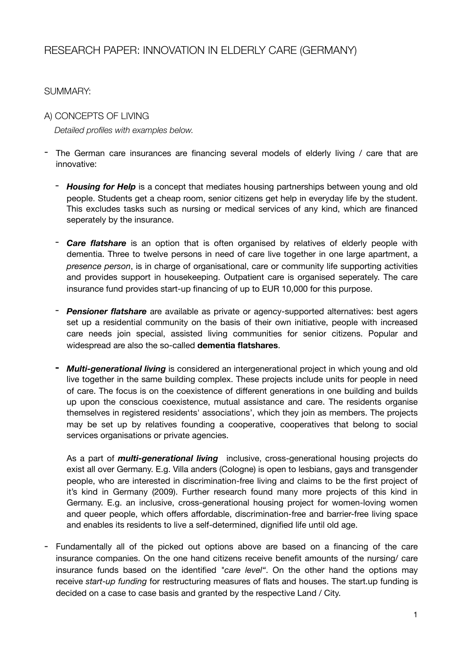# RESEARCH PAPER: INNOVATION IN ELDERLY CARE (GERMANY)

#### SUMMARY:

## A) CONCEPTS OF LIVING *Detailed profiles with examples below.*

- The German care insurances are financing several models of elderly living / care that are innovative:
	- *Housing for Help* is a concept that mediates housing partnerships between young and old people. Students get a cheap room, senior citizens get help in everyday life by the student. This excludes tasks such as nursing or medical services of any kind, which are financed seperately by the insurance.
	- *Care flatshare* is an option that is often organised by relatives of elderly people with dementia. Three to twelve persons in need of care live together in one large apartment, a *presence person*, is in charge of organisational, care or community life supporting activities and provides support in housekeeping. Outpatient care is organised seperately. The care insurance fund provides start-up financing of up to EUR 10,000 for this purpose.
	- *Pensioner flatshare* are available as private or agency-supported alternatives: best agers set up a residential community on the basis of their own initiative, people with increased care needs join special, assisted living communities for senior citizens. Popular and widespread are also the so-called **dementia flatshares**.
	- **-** *Multi-generational living* is considered an intergenerational project in which young and old live together in the same building complex. These projects include units for people in need of care. The focus is on the coexistence of different generations in one building and builds up upon the conscious coexistence, mutual assistance and care. The residents organise themselves in registered residents' associations', which they join as members. The projects may be set up by relatives founding a cooperative, cooperatives that belong to social services organisations or private agencies.

As a part of *multi-generational living* inclusive, cross-generational housing projects do exist all over Germany. E.g. Villa anders (Cologne) is open to lesbians, gays and transgender people, who are interested in discrimination-free living and claims to be the first project of it's kind in Germany (2009). Further research found many more projects of this kind in Germany. E.g. an inclusive, cross-generational housing project for women-loving women and queer people, which offers affordable, discrimination-free and barrier-free living space and enables its residents to live a self-determined, dignified life until old age.

- Fundamentally all of the picked out options above are based on a financing of the care insurance companies. On the one hand citizens receive benefit amounts of the nursing/ care insurance funds based on the identified *"care level"*. On the other hand the options may receive *start-up funding* for restructuring measures of flats and houses. The start.up funding is decided on a case to case basis and granted by the respective Land / City.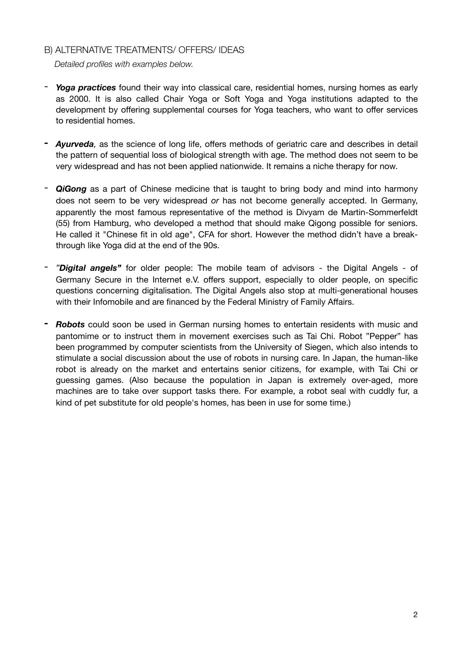### B) ALTERNATIVE TREATMENTS/ OFFERS/ IDEAS

*Detailed profiles with examples below.*

- *Yoga practices* found their way into classical care, residential homes, nursing homes as early as 2000. It is also called Chair Yoga or Soft Yoga and Yoga institutions adapted to the development by offering supplemental courses for Yoga teachers, who want to offer services to residential homes.
- *- Ayurveda,* as the science of long life, offers methods of geriatric care and describes in detail the pattern of sequential loss of biological strength with age. The method does not seem to be very widespread and has not been applied nationwide. It remains a niche therapy for now.
- *QiGong* as a part of Chinese medicine that is taught to bring body and mind into harmony does not seem to be very widespread *or* has not become generally accepted. In Germany, apparently the most famous representative of the method is Divyam de Martin-Sommerfeldt (55) from Hamburg, who developed a method that should make Qigong possible for seniors. He called it "Chinese fit in old age", CFA for short. However the method didn't have a breakthrough like Yoga did at the end of the 90s.
- *"Digital angels"* for older people: The mobile team of advisors the Digital Angels of Germany Secure in the Internet e.V. offers support, especially to older people, on specific questions concerning digitalisation. The Digital Angels also stop at multi-generational houses with their Infomobile and are financed by the Federal Ministry of Family Affairs.
- *- Robots* could soon be used in German nursing homes to entertain residents with music and pantomime or to instruct them in movement exercises such as Tai Chi. Robot "Pepper" has been programmed by computer scientists from the University of Siegen, which also intends to stimulate a social discussion about the use of robots in nursing care. In Japan, the human-like robot is already on the market and entertains senior citizens, for example, with Tai Chi or guessing games. (Also because the population in Japan is extremely over-aged, more machines are to take over support tasks there. For example, a robot seal with cuddly fur, a kind of pet substitute for old people's homes, has been in use for some time.)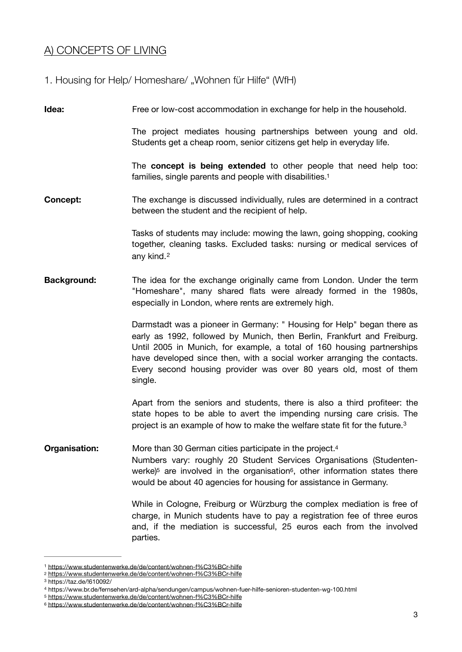## A) CONCEPTS OF LIVING

1. Housing for Help/ Homeshare/ "Wohnen für Hilfe" (WfH)

**Idea:** Free or low-cost accommodation in exchange for help in the household.

The project mediates housing partnerships between young and old. Students get a cheap room, senior citizens get help in everyday life.

<span id="page-2-6"></span>The **concept is being extended** to other people that need help too: families, single parents and people with disabilities[.1](#page-2-0)

**Concept:** The exchange is discussed individually, rules are determined in a contract between the student and the recipient of help.

> <span id="page-2-7"></span>Tasks of students may include: mowing the lawn, going shopping, cooking together, cleaning tasks. Excluded tasks: nursing or medical services of any kind.[2](#page-2-1)

**Background:** The idea for the exchange originally came from London. Under the term "Homeshare", many shared flats were already formed in the 1980s, especially in London, where rents are extremely high.

> Darmstadt was a pioneer in Germany: " Housing for Help" began there as early as 1992, followed by Munich, then Berlin, Frankfurt and Freiburg. Until 2005 in Munich, for example, a total of 160 housing partnerships have developed since then, with a social worker arranging the contacts. Every second housing provider was over 80 years old, most of them single.

> <span id="page-2-9"></span><span id="page-2-8"></span>Apart from the seniors and students, there is also a third profiteer: the state hopes to be able to avert the impending nursing care crisis. The project is an example of how to make the welfare state fit for the future.[3](#page-2-2)

**Organisation:** More than 30 German cities participate in the project.<sup>4</sup> Numbers vary: roughly 20 Student Services Organisations (Studentenwerke)<sup>5</sup> are involved in the organisation<sup>6</sup>, other information states there would be about 40 agencies for housing for assistance in Germany.

> <span id="page-2-11"></span><span id="page-2-10"></span>While in Cologne, Freiburg or Würzburg the complex mediation is free of charge, in Munich students have to pay a registration fee of three euros and, if the mediation is successful, 25 euros each from the involved parties.

<span id="page-2-0"></span>[<sup>1</sup>](#page-2-6) <https://www.studentenwerke.de/de/content/wohnen-f%C3%BCr-hilfe>

<span id="page-2-1"></span>[<sup>2</sup>](#page-2-7) <https://www.studentenwerke.de/de/content/wohnen-f%C3%BCr-hilfe>

<span id="page-2-2"></span>https://taz.de/!610092/ [3](#page-2-8)

<span id="page-2-3"></span>https://www.br.de/fernsehen/ard-alpha/sendungen/campus/wohnen-fuer-hilfe-senioren-studenten-wg-100.html [4](#page-2-9)

<span id="page-2-4"></span>[<sup>5</sup>](#page-2-10) <https://www.studentenwerke.de/de/content/wohnen-f%C3%BCr-hilfe>

<span id="page-2-5"></span>[<sup>6</sup>](#page-2-11) <https://www.studentenwerke.de/de/content/wohnen-f%C3%BCr-hilfe>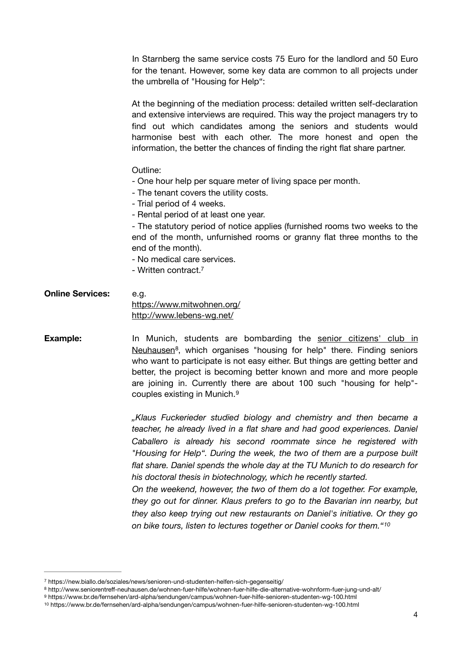In Starnberg the same service costs 75 Euro for the landlord and 50 Euro for the tenant. However, some key data are common to all projects under the umbrella of "Housing for Help":

At the beginning of the mediation process: detailed written self-declaration and extensive interviews are required. This way the project managers try to find out which candidates among the seniors and students would harmonise best with each other. The more honest and open the information, the better the chances of finding the right flat share partner.

Outline:

- One hour help per square meter of living space per month.
- The tenant covers the utility costs.
- Trial period of 4 weeks.
- Rental period of at least one year.

- The statutory period of notice applies (furnished rooms two weeks to the end of the month, unfurnished rooms or granny flat three months to the end of the month).

- No medical care services.
- <span id="page-3-4"></span>- Written contract[.7](#page-3-0)
- **Online Services:** e.g. <https://www.mitwohnen.org/> <http://www.lebens-wg.net/>
- **Example:** In Munich, students are bombarding the senior citizens' club in [Neuhausen](http://www.seniorentreff-neuhausen.de/wohnen-fuer-hilfe/wohnen-fuer-hilfe-die-alternative-wohnform-fuer-jung-und-alt/) $<sup>8</sup>$  $<sup>8</sup>$  $<sup>8</sup>$ [,](#page-3-1) which organises "housing for help" there. Finding seniors</sup> who want to participate is not easy either. But things are getting better and better, the project is becoming better known and more and more people are joining in. Currently there are about 100 such "housing for help" couples existing in Munich.[9](#page-3-2)

<span id="page-3-6"></span><span id="page-3-5"></span>*"Klaus Fuckerieder studied biology and chemistry and then became a teacher, he already lived in a flat share and had good experiences. Daniel Caballero is already his second roommate since he registered with "Housing for Help". During the week, the two of them are a purpose built flat share. Daniel spends the whole day at the TU Munich to do research for his doctoral thesis in biotechnology, which he recently started. On the weekend, however, the two of them do a lot together. For example, they go out for dinner. Klaus prefers to go to the Bavarian inn nearby, but they also keep trying out new restaurants on Daniel's initiative. Or they go* 

<span id="page-3-7"></span>*on bike tours, listen to lectures together or Daniel cooks for them."[10](#page-3-3)*

<span id="page-3-0"></span>https://new.biallo.de/soziales/news/senioren-und-studenten-helfen-sich-gegenseitig/ [7](#page-3-4)

<span id="page-3-1"></span>http://www.seniorentreff-neuhausen.de/wohnen-fuer-hilfe/wohnen-fuer-hilfe-die-alternative-wohnform-fuer-jung-und-alt/ [8](#page-3-5)

<span id="page-3-2"></span>https://www.br.de/fernsehen/ard-alpha/sendungen/campus/wohnen-fuer-hilfe-senioren-studenten-wg-100.html [9](#page-3-6)

<span id="page-3-3"></span>https://www.br.de/fernsehen/ard-alpha/sendungen/campus/wohnen-fuer-hilfe-senioren-studenten-wg-100.html [10](#page-3-7)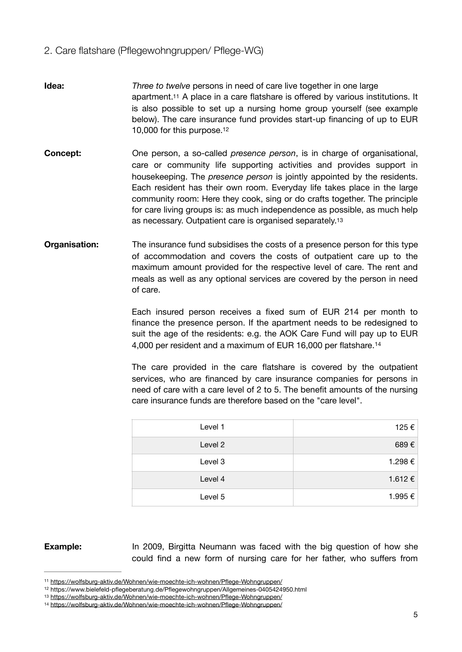### 2. Care flatshare (Pflegewohngruppen/ Pflege-WG)

- <span id="page-4-4"></span>**Idea:** *Three to twelve* persons in need of care live together in one large apartment[.11](#page-4-0) A place in a care flatshare is offered by various institutions. It is also possible to set up a nursing home group yourself (see example below). The care insurance fund provides start-up financing of up to EUR 10,000 for this purpose[.12](#page-4-1)
- <span id="page-4-5"></span>**Concept:** One person, a so-called *presence person*, is in charge of organisational, care or community life supporting activities and provides support in housekeeping. The *presence person* is jointly appointed by the residents. Each resident has their own room. Everyday life takes place in the large community room: Here they cook, sing or do crafts together. The principle for care living groups is: as much independence as possible, as much help as necessary. Outpatient care is organised separately[.13](#page-4-2)
- **Organisation:** The insurance fund subsidises the costs of a presence person for this type of accommodation and covers the costs of outpatient care up to the maximum amount provided for the respective level of care. The rent and meals as well as any optional services are covered by the person in need of care.

<span id="page-4-6"></span>Each insured person receives a fixed sum of EUR 214 per month to finance the presence person. If the apartment needs to be redesigned to suit the age of the residents: e.g. the AOK Care Fund will pay up to EUR 4,000 per resident and a maximum of EUR 16,000 per flatshare.[14](#page-4-3)

<span id="page-4-7"></span>The care provided in the care flatshare is covered by the outpatient services, who are financed by care insurance companies for persons in need of care with a care level of 2 to 5. The benefit amounts of the nursing care insurance funds are therefore based on the "care level".

| Level 1 | 125€    |
|---------|---------|
| Level 2 | 689€    |
| Level 3 | 1.298€  |
| Level 4 | 1.612 € |
| Level 5 | 1.995€  |

**Example:** In 2009, Birgitta Neumann was faced with the big question of how she could find a new form of nursing care for her father, who suffers from

<span id="page-4-0"></span><sup>11</sup> <https://wolfsburg-aktiv.de/Wohnen/wie-moechte-ich-wohnen/Pflege-Wohngruppen/>

<span id="page-4-1"></span><sup>&</sup>lt;sup>[12](#page-4-5)</sup> https://www.bielefeld-pflegeberatung.de/Pflegewohngruppen/Allgemeines-0405424950.html

<span id="page-4-2"></span><sup>13</sup> <https://wolfsburg-aktiv.de/Wohnen/wie-moechte-ich-wohnen/Pflege-Wohngruppen/>

<span id="page-4-3"></span><sup>14</sup> <https://wolfsburg-aktiv.de/Wohnen/wie-moechte-ich-wohnen/Pflege-Wohngruppen/>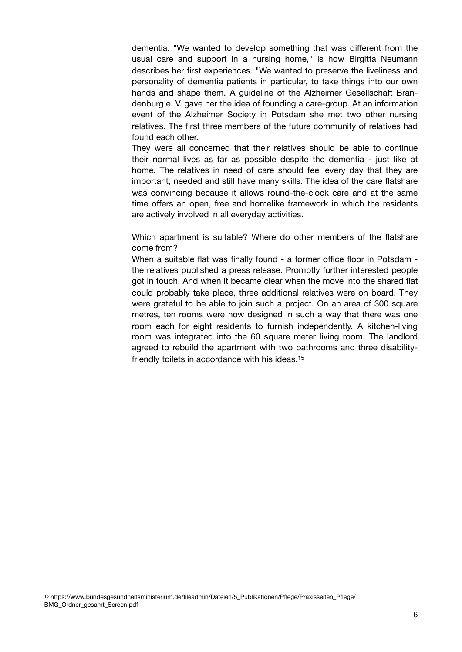dementia. "We wanted to develop something that was different from the usual care and support in a nursing home," is how Birgitta Neumann describes her first experiences. "We wanted to preserve the liveliness and personality of dementia patients in particular, to take things into our own hands and shape them. A quideline of the Alzheimer Gesellschaft Brandenburg e. V. gave her the idea of founding a care-group. At an information event of the Alzheimer Society in Potsdam she met two other nursing relatives. The first three members of the future community of relatives had found each other.

They were all concerned that their relatives should be able to continue their normal lives as far as possible despite the dementia - just like at home. The relatives in need of care should feel every day that they are important, needed and still have many skills. The idea of the care flatshare was convincing because it allows round-the-clock care and at the same time offers an open, free and homelike framework in which the residents are actively involved in all everyday activities.

Which apartment is suitable? Where do other members of the flatshare come from?

<span id="page-5-1"></span>When a suitable flat was finally found - a former office floor in Potsdam the relatives published a press release. Promptly further interested people got in touch. And when it became clear when the move into the shared flat could probably take place, three additional relatives were on board. They were grateful to be able to join such a project. On an area of 300 square metres, ten rooms were now designed in such a way that there was one room each for eight residents to furnish independently. A kitchen-living room was integrated into the 60 square meter living room. The landlord agreed to rebuild the apartment with two bathrooms and three disabilityfriendly toilets in accordance with his ideas.[15](#page-5-0)

<span id="page-5-0"></span>[<sup>15</sup>](#page-5-1) https://www.bundesgesundheitsministerium.de/fileadmin/Dateien/5\_Publikationen/Pflege/Praxisseiten\_Pflege/ BMG\_Ordner\_gesamt\_Screen.pdf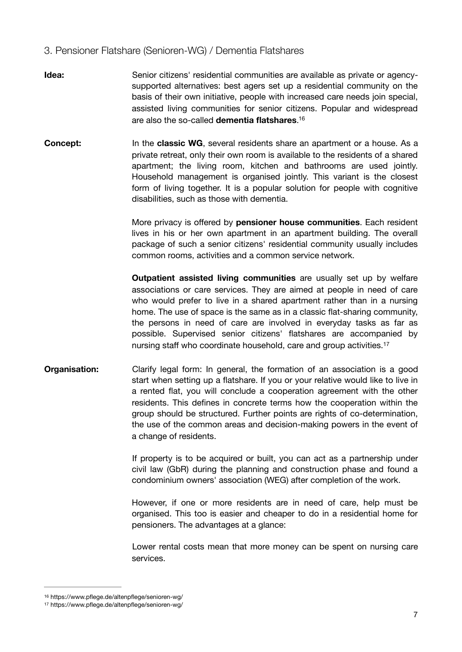### 3. Pensioner Flatshare (Senioren-WG) / Dementia Flatshares

- **Idea:** Senior citizens' residential communities are available as private or agencysupported alternatives: best agers set up a residential community on the basis of their own initiative, people with increased care needs join special, assisted living communities for senior citizens. Popular and widespread are also the so-called **dementia flatshares**. [16](#page-6-0)
- **Concept:** In the **classic WG**, several residents share an apartment or a house. As a private retreat, only their own room is available to the residents of a shared apartment; the living room, kitchen and bathrooms are used jointly. Household management is organised jointly. This variant is the closest form of living together. It is a popular solution for people with cognitive disabilities, such as those with dementia.

<span id="page-6-2"></span>More privacy is offered by **pensioner house communities**. Each resident lives in his or her own apartment in an apartment building. The overall package of such a senior citizens' residential community usually includes common rooms, activities and a common service network.

<span id="page-6-3"></span>**Outpatient assisted living communities** are usually set up by welfare associations or care services. They are aimed at people in need of care who would prefer to live in a shared apartment rather than in a nursing home. The use of space is the same as in a classic flat-sharing community, the persons in need of care are involved in everyday tasks as far as possible. Supervised senior citizens' flatshares are accompanied by nursing staff who coordinate household, care and group activities.<sup>[17](#page-6-1)</sup>

**Organisation:** Clarify legal form: In general, the formation of an association is a good start when setting up a flatshare. If you or your relative would like to live in a rented flat, you will conclude a cooperation agreement with the other residents. This defines in concrete terms how the cooperation within the group should be structured. Further points are rights of co-determination, the use of the common areas and decision-making powers in the event of a change of residents.

> If property is to be acquired or built, you can act as a partnership under civil law (GbR) during the planning and construction phase and found a condominium owners' association (WEG) after completion of the work.

> However, if one or more residents are in need of care, help must be organised. This too is easier and cheaper to do in a residential home for pensioners. The advantages at a glance:

> Lower rental costs mean that more money can be spent on nursing care services.

<span id="page-6-0"></span>[<sup>16</sup>](#page-6-2) https://www.pflege.de/altenpflege/senioren-wg/

<span id="page-6-1"></span>[<sup>17</sup>](#page-6-3) https://www.pflege.de/altenpflege/senioren-wg/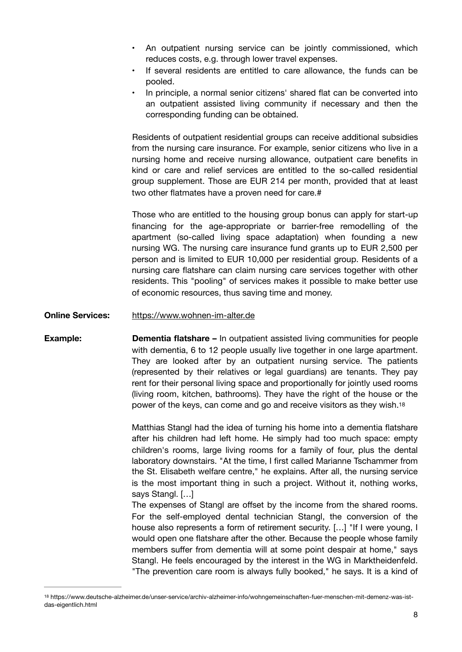- An outpatient nursing service can be jointly commissioned, which reduces costs, e.g. through lower travel expenses.
- If several residents are entitled to care allowance, the funds can be pooled.
- In principle, a normal senior citizens' shared flat can be converted into an outpatient assisted living community if necessary and then the corresponding funding can be obtained.

Residents of outpatient residential groups can receive additional subsidies from the nursing care insurance. For example, senior citizens who live in a nursing home and receive nursing allowance, outpatient care benefits in kind or care and relief services are entitled to the so-called residential group supplement. Those are EUR 214 per month, provided that at least two other flatmates have a proven need for care.#

Those who are entitled to the housing group bonus can apply for start-up financing for the age-appropriate or barrier-free remodelling of the apartment (so-called living space adaptation) when founding a new nursing WG. The nursing care insurance fund grants up to EUR 2,500 per person and is limited to EUR 10,000 per residential group. Residents of a nursing care flatshare can claim nursing care services together with other residents. This "pooling" of services makes it possible to make better use of economic resources, thus saving time and money.

**Online Services:** <https://www.wohnen-im-alter.de>

**Example: Dementia flatshare –** In outpatient assisted living communities for people with dementia, 6 to 12 people usually live together in one large apartment. They are looked after by an outpatient nursing service. The patients (represented by their relatives or legal guardians) are tenants. They pay rent for their personal living space and proportionally for jointly used rooms (living room, kitchen, bathrooms). They have the right of the house or the power of the keys, can come and go and receive visitors as they wish[.18](#page-7-0)

> <span id="page-7-1"></span>Matthias Stangl had the idea of turning his home into a dementia flatshare after his children had left home. He simply had too much space: empty children's rooms, large living rooms for a family of four, plus the dental laboratory downstairs. "At the time, I first called Marianne Tschammer from the St. Elisabeth welfare centre," he explains. After all, the nursing service is the most important thing in such a project. Without it, nothing works, says Stangl. […]

> The expenses of Stangl are offset by the income from the shared rooms. For the self-employed dental technician Stangl, the conversion of the house also represents a form of retirement security. […] "If I were young, I would open one flatshare after the other. Because the people whose family members suffer from dementia will at some point despair at home," says Stangl. He feels encouraged by the interest in the WG in Marktheidenfeld. "The prevention care room is always fully booked," he says. It is a kind of

<span id="page-7-0"></span><sup>&</sup>lt;sup>[18](#page-7-1)</sup> https://www.deutsche-alzheimer.de/unser-service/archiv-alzheimer-info/wohngemeinschaften-fuer-menschen-mit-demenz-was-istdas-eigentlich.html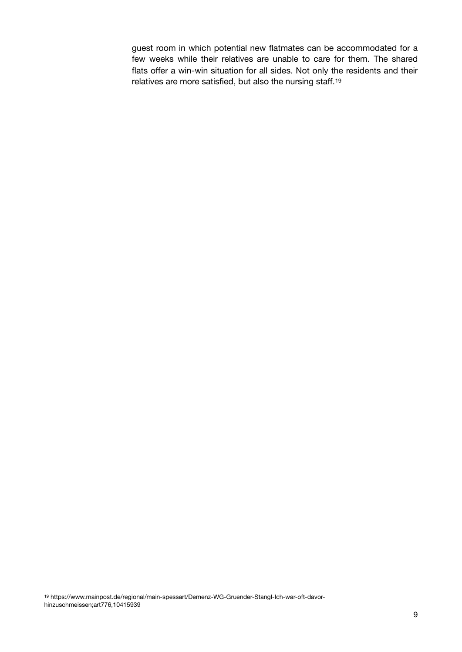<span id="page-8-1"></span>guest room in which potential new flatmates can be accommodated for a few weeks while their relatives are unable to care for them. The shared flats offer a win-win situation for all sides. Not only the residents and their relatives are more satisfied, but also the nursing staff.[19](#page-8-0)

<span id="page-8-0"></span>[<sup>19</sup>](#page-8-1) https://www.mainpost.de/regional/main-spessart/Demenz-WG-Gruender-Stangl-Ich-war-oft-davorhinzuschmeissen;art776,10415939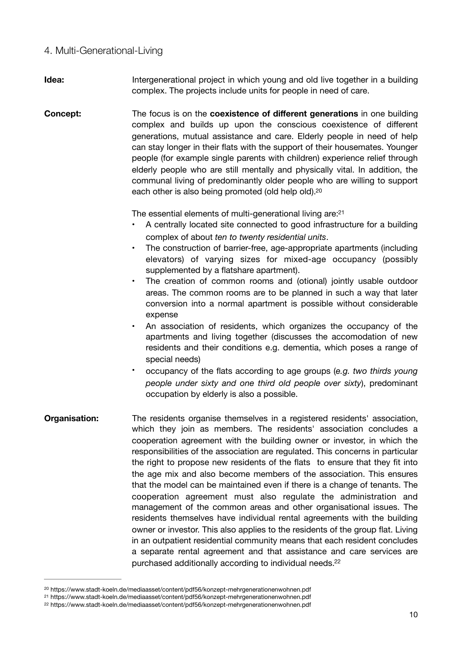#### 4. Multi-Generational-Living

- **Idea: Intergenerational project in which young and old live together in a building** complex. The projects include units for people in need of care.
- **Concept:** The focus is on the **coexistence of different generations** in one building complex and builds up upon the conscious coexistence of different generations, mutual assistance and care. Elderly people in need of help can stay longer in their flats with the support of their housemates. Younger people (for example single parents with children) experience relief through elderly people who are still mentally and physically vital. In addition, the communal living of predominantly older people who are willing to support each other is also being promoted (old help old)[.20](#page-9-0)

The essential elements of multi-generational living are[:21](#page-9-1)

- <span id="page-9-4"></span><span id="page-9-3"></span>• A centrally located site connected to good infrastructure for a building complex of about *ten to twenty residential units*.
- The construction of barrier-free, age-appropriate apartments (including elevators) of varying sizes for mixed-age occupancy (possibly supplemented by a flatshare apartment).
- The creation of common rooms and (otional) jointly usable outdoor areas. The common rooms are to be planned in such a way that later conversion into a normal apartment is possible without considerable expense
- An association of residents, which organizes the occupancy of the apartments and living together (discusses the accomodation of new residents and their conditions e.g. dementia, which poses a range of special needs)
- <span id="page-9-5"></span>• occupancy of the flats according to age groups (*e.g. two thirds young people under sixty and one third old people over sixty*), predominant occupation by elderly is also a possible.
- **Organisation:** The residents organise themselves in a registered residents' association, which they join as members. The residents' association concludes a cooperation agreement with the building owner or investor, in which the responsibilities of the association are regulated. This concerns in particular the right to propose new residents of the flats to ensure that they fit into the age mix and also become members of the association. This ensures that the model can be maintained even if there is a change of tenants. The cooperation agreement must also regulate the administration and management of the common areas and other organisational issues. The residents themselves have individual rental agreements with the building owner or investor. This also applies to the residents of the group flat. Living in an outpatient residential community means that each resident concludes a separate rental agreement and that assistance and care services are purchased additionally according to individual needs.<sup>[22](#page-9-2)</sup>

<span id="page-9-0"></span>https://www.stadt-koeln.de/mediaasset/content/pdf56/konzept-mehrgenerationenwohnen.pdf [20](#page-9-3)

<span id="page-9-1"></span>https://www.stadt-koeln.de/mediaasset/content/pdf56/konzept-mehrgenerationenwohnen.pdf [21](#page-9-4)

<span id="page-9-2"></span>[<sup>22</sup>](#page-9-5) https://www.stadt-koeln.de/mediaasset/content/pdf56/konzept-mehrgenerationenwohnen.pdf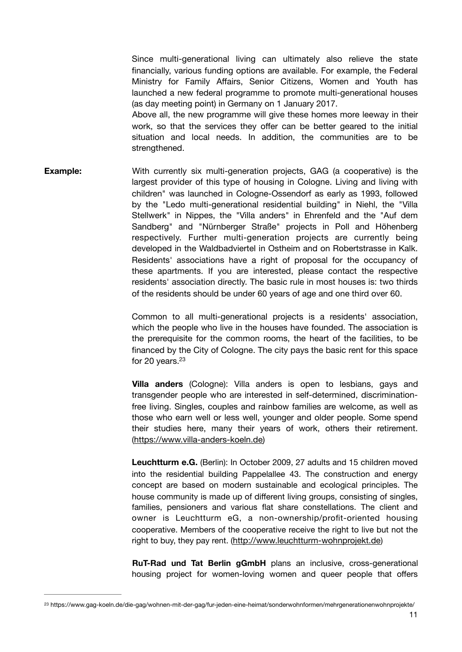Since multi-generational living can ultimately also relieve the state financially, various funding options are available. For example, the Federal Ministry for Family Affairs, Senior Citizens, Women and Youth has launched a new federal programme to promote multi-generational houses (as day meeting point) in Germany on 1 January 2017.

Above all, the new programme will give these homes more leeway in their work, so that the services they offer can be better geared to the initial situation and local needs. In addition, the communities are to be strengthened.

**Example:** With currently six multi-generation projects, GAG (a cooperative) is the largest provider of this type of housing in Cologne. Living and living with children" was launched in Cologne-Ossendorf as early as 1993, followed by the "Ledo multi-generational residential building" in Niehl, the "Villa Stellwerk" in Nippes, the "Villa anders" in Ehrenfeld and the "Auf dem Sandberg" and "Nürnberger Straße" projects in Poll and Höhenberg respectively. Further multi-generation projects are currently being developed in the Waldbadviertel in Ostheim and on Robertstrasse in Kalk. Residents' associations have a right of proposal for the occupancy of these apartments. If you are interested, please contact the respective residents' association directly. The basic rule in most houses is: two thirds of the residents should be under 60 years of age and one third over 60.

> Common to all multi-generational projects is a residents' association, which the people who live in the houses have founded. The association is the prerequisite for the common rooms, the heart of the facilities, to be financed by the City of Cologne. The city pays the basic rent for this space for 20 years.<sup>23</sup>

> <span id="page-10-1"></span>**Villa anders** (Cologne): Villa anders is open to lesbians, gays and transgender people who are interested in self-determined, discriminationfree living. Singles, couples and rainbow families are welcome, as well as those who earn well or less well, younger and older people. Some spend their studies here, many their years of work, others their retirement. ([https://www.villa-anders-koeln.de\)](https://www.villa-anders-koeln.de)

> **Leuchtturm e.G.** (Berlin): In October 2009, 27 adults and 15 children moved into the residential building Pappelallee 43. The construction and energy concept are based on modern sustainable and ecological principles. The house community is made up of different living groups, consisting of singles, families, pensioners and various flat share constellations. The client and owner is Leuchtturm eG, a non-ownership/profit-oriented housing cooperative. Members of the cooperative receive the right to live but not the right to buy, they pay rent. [\(http://www.leuchtturm-wohnprojekt.de\)](http://www.leuchtturm-wohnprojekt.de)

> **RuT-Rad und Tat Berlin gGmbH** plans an inclusive, cross-generational housing project for women-loving women and queer people that offers

<span id="page-10-0"></span>[<sup>23</sup>](#page-10-1) https://www.gag-koeln.de/die-gag/wohnen-mit-der-gag/fur-jeden-eine-heimat/sonderwohnformen/mehrgenerationenwohnprojekte/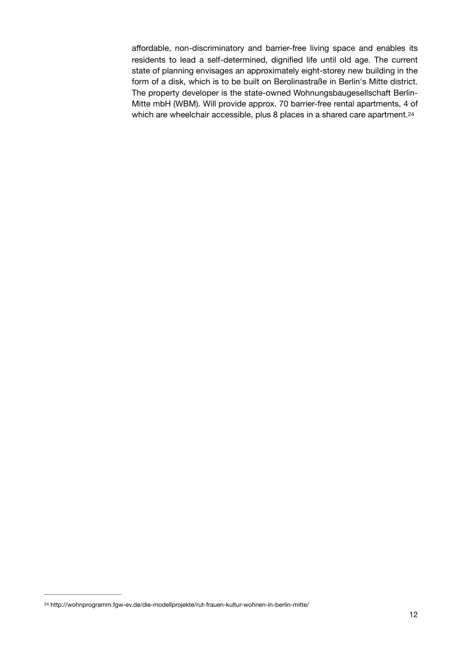<span id="page-11-1"></span>affordable, non-discriminatory and barrier-free living space and enables its residents to lead a self-determined, dignified life until old age. The current state of planning envisages an approximately eight-storey new building in the form of a disk, which is to be built on Berolinastraße in Berlin's Mitte district. The property developer is the state-owned Wohnungsbaugesellschaft Berlin-Mitte mbH (WBM). Will provide approx. 70 barrier-free rental apartments, 4 of which are wheelchair accessible, plus 8 places in a shared care apartment.<sup>[24](#page-11-0)</sup>

<span id="page-11-0"></span>http://wohnprogramm.fgw-ev.de/die-modellprojekte/rut-frauen-kultur-wohnen-in-berlin-mitte/ [24](#page-11-1)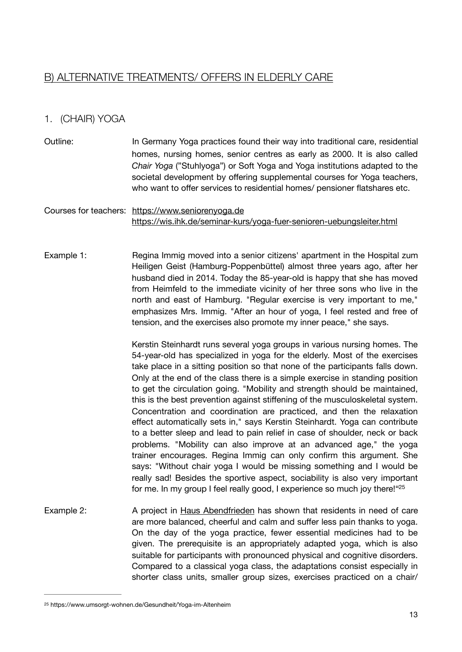# B) ALTERNATIVE TREATMENTS/ OFFERS IN ELDERLY CARE

## 1. (CHAIR) YOGA

Outline: In Germany Yoga practices found their way into traditional care, residential homes, nursing homes, senior centres as early as 2000. It is also called *Chair Yoga* ("Stuhlyoga") or Soft Yoga and Yoga institutions adapted to the societal development by offering supplemental courses for Yoga teachers, who want to offer services to residential homes/ pensioner flatshares etc.

#### Courses for teachers: <https://www.seniorenyoga.de> <https://wis.ihk.de/seminar-kurs/yoga-fuer-senioren-uebungsleiter.html>

Example 1: Regina Immig moved into a senior citizens' apartment in the Hospital zum Heiligen Geist (Hamburg-Poppenbüttel) almost three years ago, after her husband died in 2014. Today the 85-year-old is happy that she has moved from Heimfeld to the immediate vicinity of her three sons who live in the north and east of Hamburg. "Regular exercise is very important to me," emphasizes Mrs. Immig. "After an hour of yoga, I feel rested and free of tension, and the exercises also promote my inner peace," she says.

> <span id="page-12-1"></span>Kerstin Steinhardt runs several yoga groups in various nursing homes. The 54-year-old has specialized in yoga for the elderly. Most of the exercises take place in a sitting position so that none of the participants falls down. Only at the end of the class there is a simple exercise in standing position to get the circulation going. "Mobility and strength should be maintained, this is the best prevention against stiffening of the musculoskeletal system. Concentration and coordination are practiced, and then the relaxation effect automatically sets in," says Kerstin Steinhardt. Yoga can contribute to a better sleep and lead to pain relief in case of shoulder, neck or back problems. "Mobility can also improve at an advanced age," the yoga trainer encourages. Regina Immig can only confirm this argument. She says: "Without chair yoga I would be missing something and I would be really sad! Besides the sportive aspect, sociability is also very important for me. In my group I feel really good, I experience so much joy there!["25](#page-12-0)

Example 2: A project in [Haus Abendfrieden](https://www.haus-abendfrieden.de/) has shown that residents in need of care are more balanced, cheerful and calm and suffer less pain thanks to yoga. On the day of the yoga practice, fewer essential medicines had to be given. The prerequisite is an appropriately adapted yoga, which is also suitable for participants with pronounced physical and cognitive disorders. Compared to a classical yoga class, the adaptations consist especially in shorter class units, smaller group sizes, exercises practiced on a chair/

<span id="page-12-0"></span>[<sup>25</sup>](#page-12-1) https://www.umsorgt-wohnen.de/Gesundheit/Yoga-im-Altenheim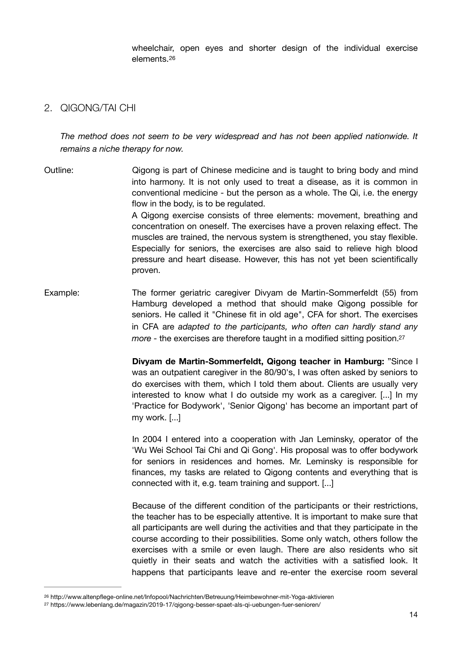<span id="page-13-2"></span>wheelchair, open eyes and shorter design of the individual exercise elements.[26](#page-13-0)

#### 2. QIGONG/TAI CHI

*The method does not seem to be very widespread and has not been applied nationwide. It remains a niche therapy for now.*

Outline: Qigong is part of Chinese medicine and is taught to bring body and mind into harmony. It is not only used to treat a disease, as it is common in conventional medicine - but the person as a whole. The Qi, i.e. the energy flow in the body, is to be regulated. A Qigong exercise consists of three elements: movement, breathing and concentration on oneself. The exercises have a proven relaxing effect. The muscles are trained, the nervous system is strengthened, you stay flexible. Especially for seniors, the exercises are also said to relieve high blood pressure and heart disease. However, this has not yet been scientifically proven.

Example: The former geriatric caregiver Divyam de Martin-Sommerfeldt (55) from Hamburg developed a method that should make Qigong possible for seniors. He called it "Chinese fit in old age", CFA for short. The exercises in CFA are *adapted to the participants, who often can hardly stand any more* - the exercises are therefore taught in a modified sitting position.<sup>27</sup>

> <span id="page-13-3"></span>**Divyam de Martin-Sommerfeldt, Qigong teacher in Hamburg:** "Since I was an outpatient caregiver in the 80/90's, I was often asked by seniors to do exercises with them, which I told them about. Clients are usually very interested to know what I do outside my work as a caregiver. [...] In my 'Practice for Bodywork', 'Senior Qigong' has become an important part of my work. [...]

> In 2004 I entered into a cooperation with Jan Leminsky, operator of the 'Wu Wei School Tai Chi and Qi Gong'. His proposal was to offer bodywork for seniors in residences and homes. Mr. Leminsky is responsible for finances, my tasks are related to Qigong contents and everything that is connected with it, e.g. team training and support. [...]

> Because of the different condition of the participants or their restrictions, the teacher has to be especially attentive. It is important to make sure that all participants are well during the activities and that they participate in the course according to their possibilities. Some only watch, others follow the exercises with a smile or even laugh. There are also residents who sit quietly in their seats and watch the activities with a satisfied look. It happens that participants leave and re-enter the exercise room several

<span id="page-13-0"></span>[<sup>26</sup>](#page-13-2) http://www.altenpflege-online.net/Infopool/Nachrichten/Betreuung/Heimbewohner-mit-Yoga-aktivieren

<span id="page-13-1"></span><sup>&</sup>lt;sup>[27](#page-13-3)</sup> https://www.lebenlang.de/magazin/2019-17/qigong-besser-spaet-als-qi-uebungen-fuer-senioren/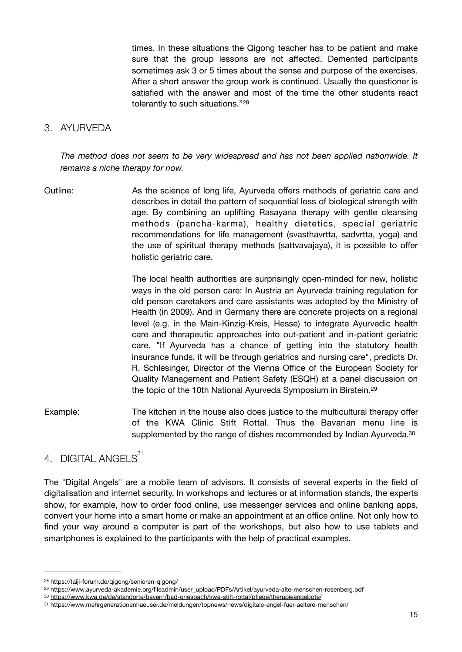<span id="page-14-4"></span>times. In these situations the Qigong teacher has to be patient and make sure that the group lessons are not affected. Demented participants sometimes ask 3 or 5 times about the sense and purpose of the exercises. After a short answer the group work is continued. Usually the questioner is satisfied with the answer and most of the time the other students react tolerantly to such situations."[28](#page-14-0)

#### 3. AYURVEDA

*The method does not seem to be very widespread and has not been applied nationwide. It remains a niche therapy for now.*

Outline: As the science of long life, Ayurveda offers methods of geriatric care and describes in detail the pattern of sequential loss of biological strength with age. By combining an uplifting Rasayana therapy with gentle cleansing methods (pancha-karma), healthy dietetics, special geriatric recommendations for life management (svasthavrtta, sadvrtta, yoga) and the use of spiritual therapy methods (sattvavajaya), it is possible to offer holistic geriatric care. 

> <span id="page-14-6"></span><span id="page-14-5"></span>The local health authorities are surprisingly open-minded for new, holistic ways in the old person care: In Austria an Ayurveda training regulation for old person caretakers and care assistants was adopted by the Ministry of Health (in 2009). And in Germany there are concrete projects on a regional level (e.g. in the Main-Kinzig-Kreis, Hesse) to integrate Ayurvedic health care and therapeutic approaches into out-patient and in-patient geriatric care. "If Ayurveda has a chance of getting into the statutory health insurance funds, it will be through geriatrics and nursing care", predicts Dr. R. Schlesinger, Director of the Vienna Office of the European Society for Quality Management and Patient Safety (ESQH) at a panel discussion on the topic of the 10th National Ayurveda Symposium in Birstein[.29](#page-14-1)

Example: The kitchen in the house also does justice to the multicultural therapy offer of the KWA Clinic Stift Rottal. Thus the Bavarian menu line is supplemented by the range of dishes recommended by Indian Ayurveda.<sup>30</sup>

# <span id="page-14-7"></span>4. DIGITAL ANGELS<sup>31</sup>

The "Digital Angels" are a mobile team of advisors. It consists of several experts in the field of digitalisation and internet security. In workshops and lectures or at information stands, the experts show, for example, how to order food online, use messenger services and online banking apps, convert your home into a smart home or make an appointment at an office online. Not only how to find your way around a computer is part of the workshops, but also how to use tablets and smartphones is explained to the participants with the help of practical examples.

<span id="page-14-0"></span>https://taiji-forum.de/qigong/senioren-qigong/ [28](#page-14-4)

<span id="page-14-1"></span><sup>&</sup>lt;sup>[29](#page-14-5)</sup> https://www.ayurveda-akademie.org/fileadmin/user\_upload/PDFs/Artikel/ayurveda-alte-menschen-rosenberg.pdf

<span id="page-14-2"></span><https://www.kwa.de/de/standorte/bayern/bad-griesbach/kwa-stift-rottal/pflege/therapieangebote/> [30](#page-14-6)

<span id="page-14-3"></span>https://www.mehrgenerationenhaeuser.de/meldungen/topnews/news/digitale-engel-fuer-aeltere-menschen/ [31](#page-14-7)